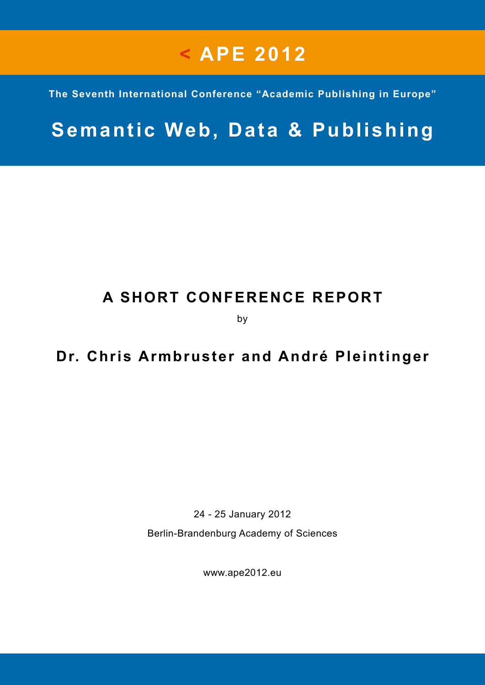# **< APE 2012**

**The Seventh International Conference "Academic Publishing in Europe"**

# **Semantic Web, Data & Publishing**

## **A SHORT CONFERENCE REPORT**

by

## **Dr. Chris Armbruster and André Pleintinger**

24 - 25 January 2012

Berlin-Brandenburg Academy of Sciences

www.ape2012.eu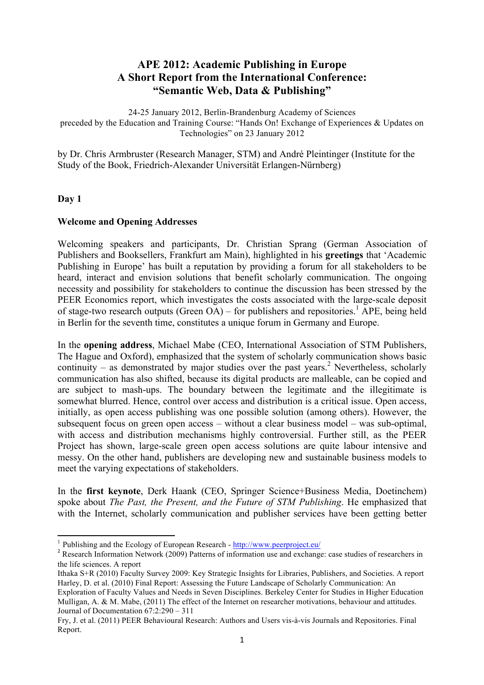### **APE 2012: Academic Publishing in Europe A Short Report from the International Conference: "Semantic Web, Data & Publishing"**

24-25 January 2012, Berlin-Brandenburg Academy of Sciences preceded by the Education and Training Course: "Hands On! Exchange of Experiences & Updates on Technologies" on 23 January 2012

by Dr. Chris Armbruster (Research Manager, STM) and André Pleintinger (Institute for the Study of the Book, Friedrich-Alexander Universität Erlangen-Nürnberg)

### **Day 1**

#### **Welcome and Opening Addresses**

""""""""""""""""""""""""""""""""""""""""""""""""""""""""""""

Welcoming speakers and participants, Dr. Christian Sprang (German Association of Publishers and Booksellers, Frankfurt am Main), highlighted in his **greetings** that 'Academic Publishing in Europe' has built a reputation by providing a forum for all stakeholders to be heard, interact and envision solutions that benefit scholarly communication. The ongoing necessity and possibility for stakeholders to continue the discussion has been stressed by the PEER Economics report, which investigates the costs associated with the large-scale deposit of stage-two research outputs (Green  $OA$ ) – for publishers and repositories.<sup>1</sup> APE, being held in Berlin for the seventh time, constitutes a unique forum in Germany and Europe.

In the **opening address**, Michael Mabe (CEO, International Association of STM Publishers, The Hague and Oxford), emphasized that the system of scholarly communication shows basic continuity – as demonstrated by major studies over the past years.<sup>2</sup> Nevertheless, scholarly communication has also shifted, because its digital products are malleable, can be copied and are subject to mash-ups. The boundary between the legitimate and the illegitimate is somewhat blurred. Hence, control over access and distribution is a critical issue. Open access, initially, as open access publishing was one possible solution (among others). However, the subsequent focus on green open access – without a clear business model – was sub-optimal, with access and distribution mechanisms highly controversial. Further still, as the PEER Project has shown, large-scale green open access solutions are quite labour intensive and messy. On the other hand, publishers are developing new and sustainable business models to meet the varying expectations of stakeholders.

In the **first keynote**, Derk Haank (CEO, Springer Science+Business Media, Doetinchem) spoke about *The Past, the Present, and the Future of STM Publishing*. He emphasized that with the Internet, scholarly communication and publisher services have been getting better

<sup>&</sup>lt;sup>1</sup> Publishing and the Ecology of European Research -  $\frac{http://www.peerproject.eu/}{http://www.peerproject.eu/}$ <br><sup>2</sup> Research Information Network (2009) Patterns of information use and exchange: case studies of researchers in the life sciences. A report

Ithaka S+R (2010) Faculty Survey 2009: Key Strategic Insights for Libraries, Publishers, and Societies. A report Harley, D. et al. (2010) Final Report: Assessing the Future Landscape of Scholarly Communication: An

Exploration of Faculty Values and Needs in Seven Disciplines. Berkeley Center for Studies in Higher Education Mulligan, A. & M. Mabe, (2011) The effect of the Internet on researcher motivations, behaviour and attitudes. Journal of Documentation 67:2:290 – 311

Fry, J. et al. (2011) PEER Behavioural Research: Authors and Users vis-à-vis Journals and Repositories. Final Report.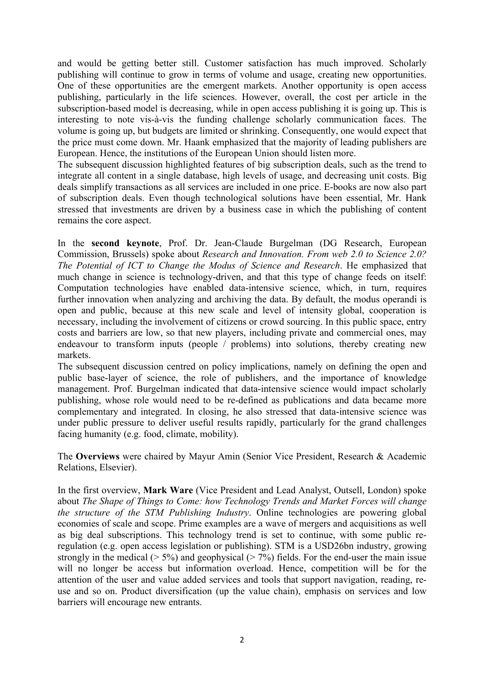and would be getting better still. Customer satisfaction has much improved. Scholarly publishing will continue to grow in terms of volume and usage, creating new opportunities. One of these opportunities are the emergent markets. Another opportunity is open access publishing, particularly in the life sciences. However, overall, the cost per article in the subscription-based model is decreasing, while in open access publishing it is going up. This is interesting to note vis-à-vis the funding challenge scholarly communication faces. The volume is going up, but budgets are limited or shrinking. Consequently, one would expect that the price must come down. Mr. Haank emphasized that the majority of leading publishers are European. Hence, the institutions of the European Union should listen more.

The subsequent discussion highlighted features of big subscription deals, such as the trend to integrate all content in a single database, high levels of usage, and decreasing unit costs. Big deals simplify transactions as all services are included in one price. E-books are now also part of subscription deals. Even though technological solutions have been essential, Mr. Hank stressed that investments are driven by a business case in which the publishing of content remains the core aspect.

In the **second keynote**, Prof. Dr. Jean-Claude Burgelman (DG Research, European Commission, Brussels) spoke about *Research and Innovation. From web 2.0 to Science 2.0? The Potential of ICT to Change the Modus of Science and Research*. He emphasized that much change in science is technology-driven, and that this type of change feeds on itself: Computation technologies have enabled data-intensive science, which, in turn, requires further innovation when analyzing and archiving the data. By default, the modus operandi is open and public, because at this new scale and level of intensity global, cooperation is necessary, including the involvement of citizens or crowd sourcing. In this public space, entry costs and barriers are low, so that new players, including private and commercial ones, may endeavour to transform inputs (people / problems) into solutions, thereby creating new markets.

The subsequent discussion centred on policy implications, namely on defining the open and public base-layer of science, the role of publishers, and the importance of knowledge management. Prof. Burgelman indicated that data-intensive science would impact scholarly publishing, whose role would need to be re-defined as publications and data became more complementary and integrated. In closing, he also stressed that data-intensive science was under public pressure to deliver useful results rapidly, particularly for the grand challenges facing humanity (e.g. food, climate, mobility).

The **Overviews** were chaired by Mayur Amin (Senior Vice President, Research & Academic Relations, Elsevier).

In the first overview, **Mark Ware** (Vice President and Lead Analyst, Outsell, London) spoke about *The Shape of Things to Come: how Technology Trends and Market Forces will change the structure of the STM Publishing Industry*. Online technologies are powering global economies of scale and scope. Prime examples are a wave of mergers and acquisitions as well as big deal subscriptions. This technology trend is set to continue, with some public reregulation (e.g. open access legislation or publishing). STM is a USD26bn industry, growing strongly in the medical ( $> 5\%$ ) and geophysical ( $> 7\%$ ) fields. For the end-user the main issue will no longer be access but information overload. Hence, competition will be for the attention of the user and value added services and tools that support navigation, reading, reuse and so on. Product diversification (up the value chain), emphasis on services and low barriers will encourage new entrants.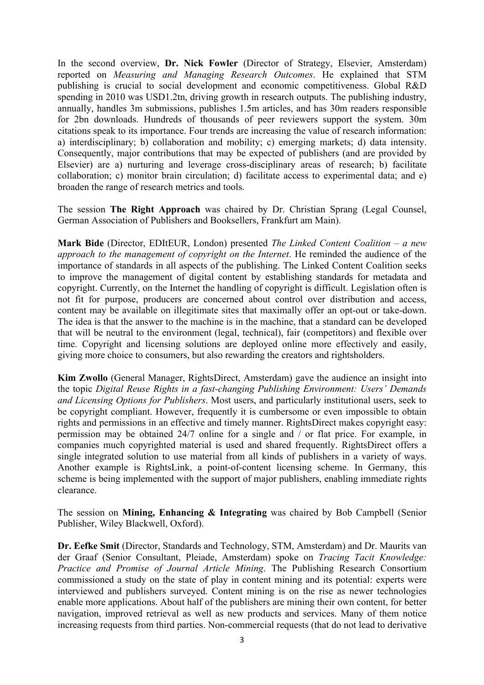In the second overview, **Dr. Nick Fowler** (Director of Strategy, Elsevier, Amsterdam) reported on *Measuring and Managing Research Outcomes*. He explained that STM publishing is crucial to social development and economic competitiveness. Global R&D spending in 2010 was USD1.2tn, driving growth in research outputs. The publishing industry, annually, handles 3m submissions, publishes 1.5m articles, and has 30m readers responsible for 2bn downloads. Hundreds of thousands of peer reviewers support the system. 30m citations speak to its importance. Four trends are increasing the value of research information: a) interdisciplinary; b) collaboration and mobility; c) emerging markets; d) data intensity. Consequently, major contributions that may be expected of publishers (and are provided by Elsevier) are a) nurturing and leverage cross-disciplinary areas of research; b) facilitate collaboration; c) monitor brain circulation; d) facilitate access to experimental data; and e) broaden the range of research metrics and tools.

The session **The Right Approach** was chaired by Dr. Christian Sprang (Legal Counsel, German Association of Publishers and Booksellers, Frankfurt am Main).

**Mark Bide** (Director, EDItEUR, London) presented *The Linked Content Coalition – a new approach to the management of copyright on the Internet*. He reminded the audience of the importance of standards in all aspects of the publishing. The Linked Content Coalition seeks to improve the management of digital content by establishing standards for metadata and copyright. Currently, on the Internet the handling of copyright is difficult. Legislation often is not fit for purpose, producers are concerned about control over distribution and access, content may be available on illegitimate sites that maximally offer an opt-out or take-down. The idea is that the answer to the machine is in the machine, that a standard can be developed that will be neutral to the environment (legal, technical), fair (competitors) and flexible over time. Copyright and licensing solutions are deployed online more effectively and easily, giving more choice to consumers, but also rewarding the creators and rightsholders.

**Kim Zwollo** (General Manager, RightsDirect, Amsterdam) gave the audience an insight into the topic *Digital Reuse Rights in a fast-changing Publishing Environment: Users' Demands and Licensing Options for Publishers*. Most users, and particularly institutional users, seek to be copyright compliant. However, frequently it is cumbersome or even impossible to obtain rights and permissions in an effective and timely manner. RightsDirect makes copyright easy: permission may be obtained 24/7 online for a single and / or flat price. For example, in companies much copyrighted material is used and shared frequently. RightsDirect offers a single integrated solution to use material from all kinds of publishers in a variety of ways. Another example is RightsLink, a point-of-content licensing scheme. In Germany, this scheme is being implemented with the support of major publishers, enabling immediate rights clearance.

The session on **Mining, Enhancing & Integrating** was chaired by Bob Campbell (Senior Publisher, Wiley Blackwell, Oxford).

**Dr. Eefke Smit** (Director, Standards and Technology, STM, Amsterdam) and Dr. Maurits van der Graaf (Senior Consultant, Pleiade, Amsterdam) spoke on *Tracing Tacit Knowledge: Practice and Promise of Journal Article Mining*. The Publishing Research Consortium commissioned a study on the state of play in content mining and its potential: experts were interviewed and publishers surveyed. Content mining is on the rise as newer technologies enable more applications. About half of the publishers are mining their own content, for better navigation, improved retrieval as well as new products and services. Many of them notice increasing requests from third parties. Non-commercial requests (that do not lead to derivative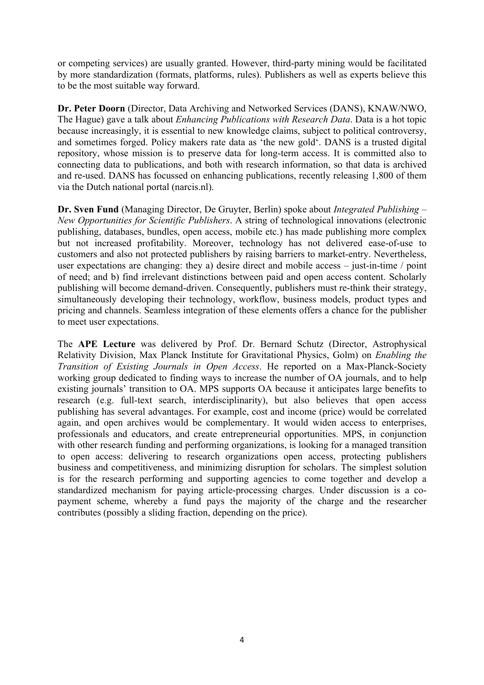or competing services) are usually granted. However, third-party mining would be facilitated by more standardization (formats, platforms, rules). Publishers as well as experts believe this to be the most suitable way forward.

**Dr. Peter Doorn** (Director, Data Archiving and Networked Services (DANS), KNAW/NWO, The Hague) gave a talk about *Enhancing Publications with Research Data*. Data is a hot topic because increasingly, it is essential to new knowledge claims, subject to political controversy, and sometimes forged. Policy makers rate data as 'the new gold'. DANS is a trusted digital repository, whose mission is to preserve data for long-term access. It is committed also to connecting data to publications, and both with research information, so that data is archived and re-used. DANS has focussed on enhancing publications, recently releasing 1,800 of them via the Dutch national portal (narcis.nl).

**Dr. Sven Fund** (Managing Director, De Gruyter, Berlin) spoke about *Integrated Publishing – New Opportunities for Scientific Publishers*. A string of technological innovations (electronic publishing, databases, bundles, open access, mobile etc.) has made publishing more complex but not increased profitability. Moreover, technology has not delivered ease-of-use to customers and also not protected publishers by raising barriers to market-entry. Nevertheless, user expectations are changing: they a) desire direct and mobile access – just-in-time / point of need; and b) find irrelevant distinctions between paid and open access content. Scholarly publishing will become demand-driven. Consequently, publishers must re-think their strategy, simultaneously developing their technology, workflow, business models, product types and pricing and channels. Seamless integration of these elements offers a chance for the publisher to meet user expectations.

The **APE Lecture** was delivered by Prof. Dr. Bernard Schutz (Director, Astrophysical Relativity Division, Max Planck Institute for Gravitational Physics, Golm) on *Enabling the Transition of Existing Journals in Open Access*. He reported on a Max-Planck-Society working group dedicated to finding ways to increase the number of OA journals, and to help existing journals' transition to OA. MPS supports OA because it anticipates large benefits to research (e.g. full-text search, interdisciplinarity), but also believes that open access publishing has several advantages. For example, cost and income (price) would be correlated again, and open archives would be complementary. It would widen access to enterprises, professionals and educators, and create entrepreneurial opportunities. MPS, in conjunction with other research funding and performing organizations, is looking for a managed transition to open access: delivering to research organizations open access, protecting publishers business and competitiveness, and minimizing disruption for scholars. The simplest solution is for the research performing and supporting agencies to come together and develop a standardized mechanism for paying article-processing charges. Under discussion is a copayment scheme, whereby a fund pays the majority of the charge and the researcher contributes (possibly a sliding fraction, depending on the price).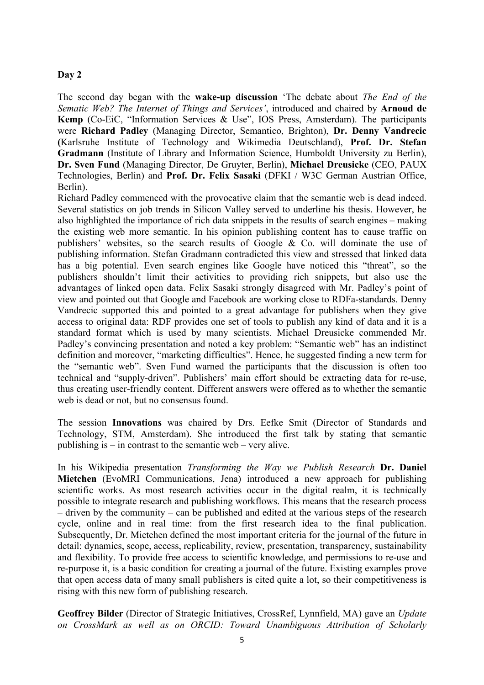### **Day 2**

The second day began with the **wake-up discussion** 'The debate about *The End of the Sematic Web? The Internet of Things and Services'*, introduced and chaired by **Arnoud de Kemp** (Co-EiC, "Information Services & Use", IOS Press, Amsterdam). The participants were **Richard Padley** (Managing Director, Semantico, Brighton), **Dr. Denny Vandrecic (**Karlsruhe Institute of Technology and Wikimedia Deutschland), **Prof. Dr. Stefan Gradmann** (Institute of Library and Information Science, Humboldt University zu Berlin), **Dr. Sven Fund** (Managing Director, De Gruyter, Berlin), **Michael Dreusicke** (CEO, PAUX Technologies, Berlin) and **Prof. Dr. Felix Sasaki** (DFKI / W3C German Austrian Office, Berlin).

Richard Padley commenced with the provocative claim that the semantic web is dead indeed. Several statistics on job trends in Silicon Valley served to underline his thesis. However, he also highlighted the importance of rich data snippets in the results of search engines – making the existing web more semantic. In his opinion publishing content has to cause traffic on publishers' websites, so the search results of Google  $\&$  Co. will dominate the use of publishing information. Stefan Gradmann contradicted this view and stressed that linked data has a big potential. Even search engines like Google have noticed this "threat", so the publishers shouldn't limit their activities to providing rich snippets, but also use the advantages of linked open data. Felix Sasaki strongly disagreed with Mr. Padley's point of view and pointed out that Google and Facebook are working close to RDFa-standards. Denny Vandrecic supported this and pointed to a great advantage for publishers when they give access to original data: RDF provides one set of tools to publish any kind of data and it is a standard format which is used by many scientists. Michael Dreusicke commended Mr. Padley's convincing presentation and noted a key problem: "Semantic web" has an indistinct definition and moreover, "marketing difficulties". Hence, he suggested finding a new term for the "semantic web". Sven Fund warned the participants that the discussion is often too technical and "supply-driven". Publishers' main effort should be extracting data for re-use, thus creating user-friendly content. Different answers were offered as to whether the semantic web is dead or not, but no consensus found.

The session **Innovations** was chaired by Drs. Eefke Smit (Director of Standards and Technology, STM, Amsterdam). She introduced the first talk by stating that semantic publishing is – in contrast to the semantic web – very alive.

In his Wikipedia presentation *Transforming the Way we Publish Research* **Dr. Daniel Mietchen** (EvoMRI Communications, Jena) introduced a new approach for publishing scientific works. As most research activities occur in the digital realm, it is technically possible to integrate research and publishing workflows. This means that the research process – driven by the community – can be published and edited at the various steps of the research cycle, online and in real time: from the first research idea to the final publication. Subsequently, Dr. Mietchen defined the most important criteria for the journal of the future in detail: dynamics, scope, access, replicability, review, presentation, transparency, sustainability and flexibility. To provide free access to scientific knowledge, and permissions to re-use and re-purpose it, is a basic condition for creating a journal of the future. Existing examples prove that open access data of many small publishers is cited quite a lot, so their competitiveness is rising with this new form of publishing research.

**Geoffrey Bilder** (Director of Strategic Initiatives, CrossRef, Lynnfield, MA) gave an *Update on CrossMark as well as on ORCID: Toward Unambiguous Attribution of Scholarly*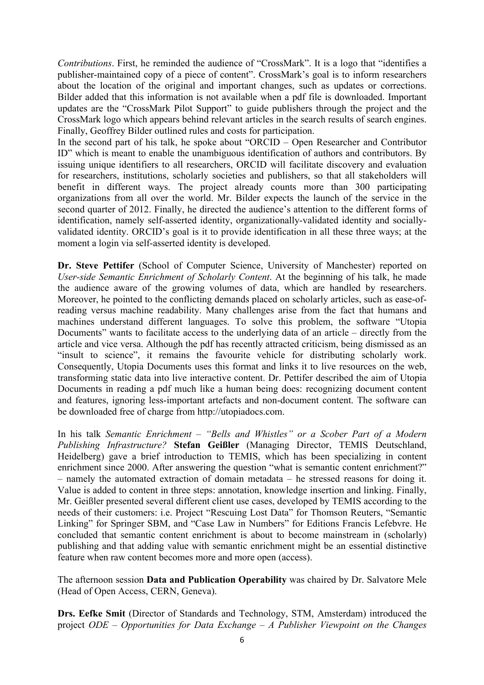*Contributions*. First, he reminded the audience of "CrossMark". It is a logo that "identifies a publisher-maintained copy of a piece of content". CrossMark's goal is to inform researchers about the location of the original and important changes, such as updates or corrections. Bilder added that this information is not available when a pdf file is downloaded. Important updates are the "CrossMark Pilot Support" to guide publishers through the project and the CrossMark logo which appears behind relevant articles in the search results of search engines. Finally, Geoffrey Bilder outlined rules and costs for participation.

In the second part of his talk, he spoke about "ORCID – Open Researcher and Contributor ID" which is meant to enable the unambiguous identification of authors and contributors. By issuing unique identifiers to all researchers, ORCID will facilitate discovery and evaluation for researchers, institutions, scholarly societies and publishers, so that all stakeholders will benefit in different ways. The project already counts more than 300 participating organizations from all over the world. Mr. Bilder expects the launch of the service in the second quarter of 2012. Finally, he directed the audience's attention to the different forms of identification, namely self-asserted identity, organizationally-validated identity and sociallyvalidated identity. ORCID's goal is it to provide identification in all these three ways; at the moment a login via self-asserted identity is developed.

Dr. Steve Pettifer *(School of Computer Science, University of Manchester)* reported on *User-side Semantic Enrichment of Scholarly Content*. At the beginning of his talk, he made the audience aware of the growing volumes of data, which are handled by researchers. Moreover, he pointed to the conflicting demands placed on scholarly articles, such as ease-ofreading versus machine readability. Many challenges arise from the fact that humans and machines understand different languages. To solve this problem, the software "Utopia Documents" wants to facilitate access to the underlying data of an article – directly from the article and vice versa. Although the pdf has recently attracted criticism, being dismissed as an "insult to science", it remains the favourite vehicle for distributing scholarly work. Consequently, Utopia Documents uses this format and links it to live resources on the web, transforming static data into live interactive content. Dr. Pettifer described the aim of Utopia Documents in reading a pdf much like a human being does: recognizing document content and features, ignoring less-important artefacts and non-document content. The software can be downloaded free of charge from http://utopiadocs.com.

In his talk *Semantic Enrichment – "Bells and Whistles" or a Scober Part of a Modern Publishing Infrastructure?* **Stefan Geißler** (Managing Director, TEMIS Deutschland, Heidelberg) gave a brief introduction to TEMIS, which has been specializing in content enrichment since 2000. After answering the question "what is semantic content enrichment?" – namely the automated extraction of domain metadata – he stressed reasons for doing it. Value is added to content in three steps: annotation, knowledge insertion and linking. Finally, Mr. Geißler presented several different client use cases, developed by TEMIS according to the needs of their customers: i.e. Project "Rescuing Lost Data" for Thomson Reuters, "Semantic Linking" for Springer SBM, and "Case Law in Numbers" for Editions Francis Lefebvre. He concluded that semantic content enrichment is about to become mainstream in (scholarly) publishing and that adding value with semantic enrichment might be an essential distinctive feature when raw content becomes more and more open (access).

The afternoon session **Data and Publication Operability** was chaired by Dr. Salvatore Mele (Head of Open Access, CERN, Geneva).

**Drs. Eefke Smit** (Director of Standards and Technology, STM, Amsterdam) introduced the project *ODE – Opportunities for Data Exchange – A Publisher Viewpoint on the Changes*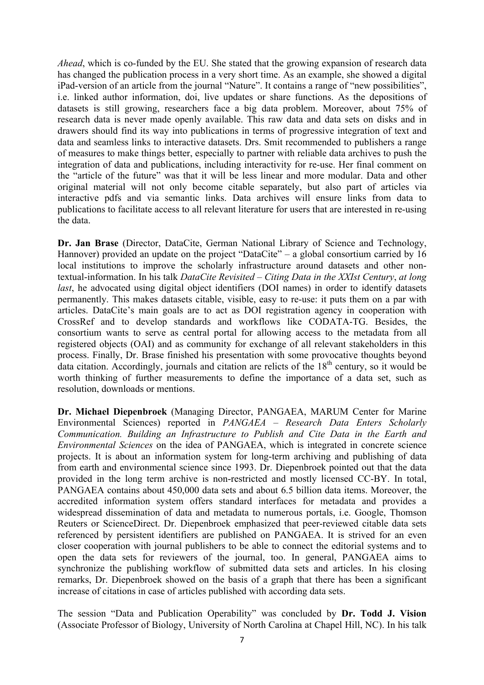*Ahead*, which is co-funded by the EU. She stated that the growing expansion of research data has changed the publication process in a very short time. As an example, she showed a digital iPad-version of an article from the journal "Nature". It contains a range of "new possibilities", i.e. linked author information, doi, live updates or share functions. As the depositions of datasets is still growing, researchers face a big data problem. Moreover, about 75% of research data is never made openly available. This raw data and data sets on disks and in drawers should find its way into publications in terms of progressive integration of text and data and seamless links to interactive datasets. Drs. Smit recommended to publishers a range of measures to make things better, especially to partner with reliable data archives to push the integration of data and publications, including interactivity for re-use. Her final comment on the "article of the future" was that it will be less linear and more modular. Data and other original material will not only become citable separately, but also part of articles via interactive pdfs and via semantic links. Data archives will ensure links from data to publications to facilitate access to all relevant literature for users that are interested in re-using the data.

**Dr. Jan Brase** (Director, DataCite, German National Library of Science and Technology, Hannover) provided an update on the project "DataCite" – a global consortium carried by 16 local institutions to improve the scholarly infrastructure around datasets and other nontextual-information. In his talk *DataCite Revisited – Citing Data in the XXIst Century*, *at long last*, he advocated using digital object identifiers (DOI names) in order to identify datasets permanently. This makes datasets citable, visible, easy to re-use: it puts them on a par with articles. DataCite's main goals are to act as DOI registration agency in cooperation with CrossRef and to develop standards and workflows like CODATA-TG. Besides, the consortium wants to serve as central portal for allowing access to the metadata from all registered objects (OAI) and as community for exchange of all relevant stakeholders in this process. Finally, Dr. Brase finished his presentation with some provocative thoughts beyond data citation. Accordingly, journals and citation are relicts of the  $18<sup>th</sup>$  century, so it would be worth thinking of further measurements to define the importance of a data set, such as resolution, downloads or mentions.

**Dr. Michael Diepenbroek** (Managing Director, PANGAEA, MARUM Center for Marine Environmental Sciences) reported in *PANGAEA – Research Data Enters Scholarly Communication. Building an Infrastructure to Publish and Cite Data in the Earth and Environmental Sciences* on the idea of PANGAEA, which is integrated in concrete science projects. It is about an information system for long-term archiving and publishing of data from earth and environmental science since 1993. Dr. Diepenbroek pointed out that the data provided in the long term archive is non-restricted and mostly licensed CC-BY. In total, PANGAEA contains about 450,000 data sets and about 6.5 billion data items. Moreover, the accredited information system offers standard interfaces for metadata and provides a widespread dissemination of data and metadata to numerous portals, i.e. Google, Thomson Reuters or ScienceDirect. Dr. Diepenbroek emphasized that peer-reviewed citable data sets referenced by persistent identifiers are published on PANGAEA. It is strived for an even closer cooperation with journal publishers to be able to connect the editorial systems and to open the data sets for reviewers of the journal, too. In general, PANGAEA aims to synchronize the publishing workflow of submitted data sets and articles. In his closing remarks, Dr. Diepenbroek showed on the basis of a graph that there has been a significant increase of citations in case of articles published with according data sets.

The session "Data and Publication Operability" was concluded by **Dr. Todd J. Vision** (Associate Professor of Biology, University of North Carolina at Chapel Hill, NC). In his talk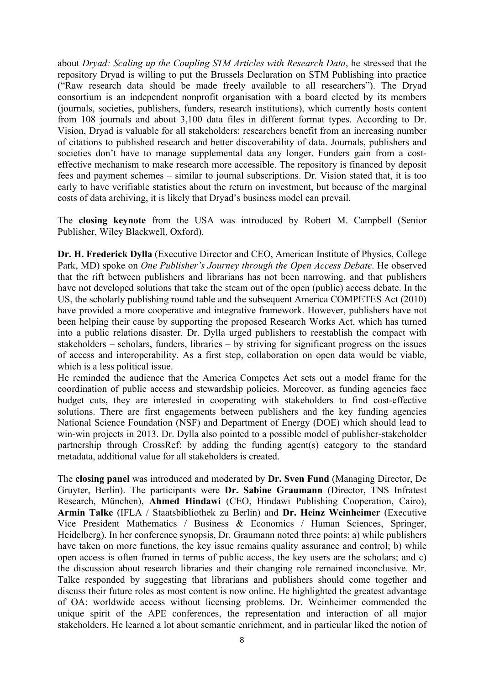about *Dryad: Scaling up the Coupling STM Articles with Research Data*, he stressed that the repository Dryad is willing to put the Brussels Declaration on STM Publishing into practice ("Raw research data should be made freely available to all researchers"). The Dryad consortium is an independent nonprofit organisation with a board elected by its members (journals, societies, publishers, funders, research institutions), which currently hosts content from 108 journals and about 3,100 data files in different format types. According to Dr. Vision, Dryad is valuable for all stakeholders: researchers benefit from an increasing number of citations to published research and better discoverability of data. Journals, publishers and societies don't have to manage supplemental data any longer. Funders gain from a costeffective mechanism to make research more accessible. The repository is financed by deposit fees and payment schemes – similar to journal subscriptions. Dr. Vision stated that, it is too early to have verifiable statistics about the return on investment, but because of the marginal costs of data archiving, it is likely that Dryad's business model can prevail.

The **closing keynote** from the USA was introduced by Robert M. Campbell (Senior Publisher, Wiley Blackwell, Oxford).

**Dr. H. Frederick Dylla** (Executive Director and CEO, American Institute of Physics, College Park, MD) spoke on *One Publisher's Journey through the Open Access Debate*. He observed that the rift between publishers and librarians has not been narrowing, and that publishers have not developed solutions that take the steam out of the open (public) access debate. In the US, the scholarly publishing round table and the subsequent America COMPETES Act (2010) have provided a more cooperative and integrative framework. However, publishers have not been helping their cause by supporting the proposed Research Works Act, which has turned into a public relations disaster. Dr. Dylla urged publishers to reestablish the compact with stakeholders – scholars, funders, libraries – by striving for significant progress on the issues of access and interoperability. As a first step, collaboration on open data would be viable, which is a less political issue.

He reminded the audience that the America Competes Act sets out a model frame for the coordination of public access and stewardship policies. Moreover, as funding agencies face budget cuts, they are interested in cooperating with stakeholders to find cost-effective solutions. There are first engagements between publishers and the key funding agencies National Science Foundation (NSF) and Department of Energy (DOE) which should lead to win-win projects in 2013. Dr. Dylla also pointed to a possible model of publisher-stakeholder partnership through CrossRef: by adding the funding agent(s) category to the standard metadata, additional value for all stakeholders is created.

The **closing panel** was introduced and moderated by **Dr. Sven Fund** (Managing Director, De Gruyter, Berlin). The participants were **Dr. Sabine Graumann** (Director, TNS Infratest Research, München), **Ahmed Hindawi** (CEO, Hindawi Publishing Cooperation, Cairo), **Armin Talke** (IFLA / Staatsbibliothek zu Berlin) and **Dr. Heinz Weinheimer** (Executive Vice President Mathematics / Business & Economics / Human Sciences, Springer, Heidelberg). In her conference synopsis, Dr. Graumann noted three points: a) while publishers have taken on more functions, the key issue remains quality assurance and control; b) while open access is often framed in terms of public access, the key users are the scholars; and c) the discussion about research libraries and their changing role remained inconclusive. Mr. Talke responded by suggesting that librarians and publishers should come together and discuss their future roles as most content is now online. He highlighted the greatest advantage of OA: worldwide access without licensing problems. Dr. Weinheimer commended the unique spirit of the APE conferences, the representation and interaction of all major stakeholders. He learned a lot about semantic enrichment, and in particular liked the notion of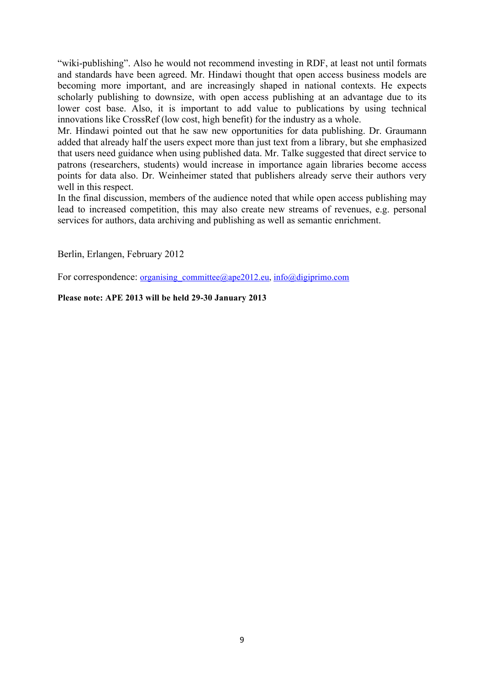"wiki-publishing". Also he would not recommend investing in RDF, at least not until formats and standards have been agreed. Mr. Hindawi thought that open access business models are becoming more important, and are increasingly shaped in national contexts. He expects scholarly publishing to downsize, with open access publishing at an advantage due to its lower cost base. Also, it is important to add value to publications by using technical innovations like CrossRef (low cost, high benefit) for the industry as a whole.

Mr. Hindawi pointed out that he saw new opportunities for data publishing. Dr. Graumann added that already half the users expect more than just text from a library, but she emphasized that users need guidance when using published data. Mr. Talke suggested that direct service to patrons (researchers, students) would increase in importance again libraries become access points for data also. Dr. Weinheimer stated that publishers already serve their authors very well in this respect.

In the final discussion, members of the audience noted that while open access publishing may lead to increased competition, this may also create new streams of revenues, e.g. personal services for authors, data archiving and publishing as well as semantic enrichment.

Berlin, Erlangen, February 2012

For correspondence: organising committee@ape2012.eu, info@digiprimo.com

**Please note: APE 2013 will be held 29-30 January 2013**